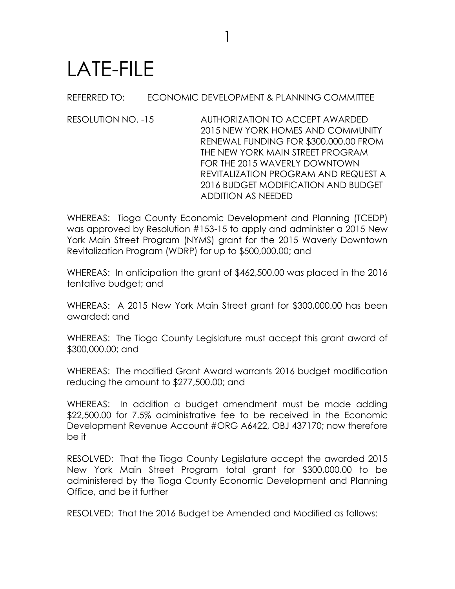## LATE-FILE

REFERRED TO: ECONOMIC DEVELOPMENT & PLANNING COMMITTEE

1

RESOLUTION NO. -15 AUTHORIZATION TO ACCEPT AWARDED 2015 NEW YORK HOMES AND COMMUNITY RENEWAL FUNDING FOR \$300,000.00 FROM THE NEW YORK MAIN STREET PROGRAM FOR THE 2015 WAVERLY DOWNTOWN REVITALIZATION PROGRAM AND REQUEST A 2016 BUDGET MODIFICATION AND BUDGET ADDITION AS NEEDED

WHEREAS: Tioga County Economic Development and Planning (TCEDP) was approved by Resolution #153-15 to apply and administer a 2015 New York Main Street Program (NYMS) grant for the 2015 Waverly Downtown Revitalization Program (WDRP) for up to \$500,000.00; and

WHEREAS: In anticipation the grant of \$462,500.00 was placed in the 2016 tentative budget; and

WHEREAS: A 2015 New York Main Street grant for \$300,000.00 has been awarded; and

WHEREAS: The Tioga County Legislature must accept this grant award of \$300,000.00; and

WHEREAS: The modified Grant Award warrants 2016 budget modification reducing the amount to \$277,500.00; and

WHEREAS: In addition a budget amendment must be made adding \$22,500.00 for 7.5% administrative fee to be received in the Economic Development Revenue Account #ORG A6422, OBJ 437170; now therefore be it

RESOLVED: That the Tioga County Legislature accept the awarded 2015 New York Main Street Program total grant for \$300,000.00 to be administered by the Tioga County Economic Development and Planning Office, and be it further

RESOLVED: That the 2016 Budget be Amended and Modified as follows: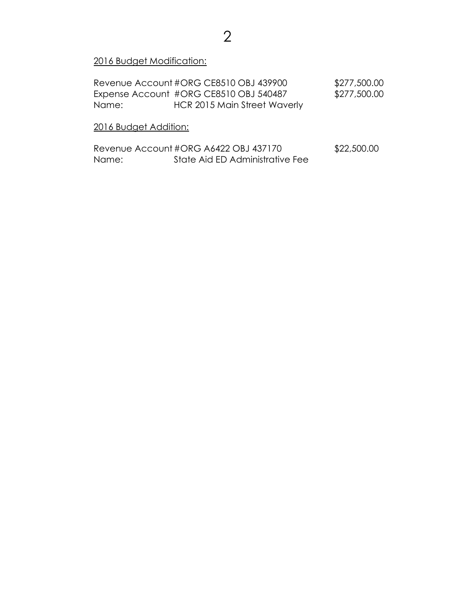2016 Budget Modification:

Revenue Account #ORG CE8510 OBJ 439900 \$277,500.00 Expense Account #ORG CE8510 OBJ 540487 \$277,500.00 Name: HCR 2015 Main Street Waverly

## 2016 Budget Addition:

| Revenue Account #ORG A6422 OBJ 437170 |                                 | \$22,500.00 |
|---------------------------------------|---------------------------------|-------------|
| Name:                                 | State Aid ED Administrative Fee |             |